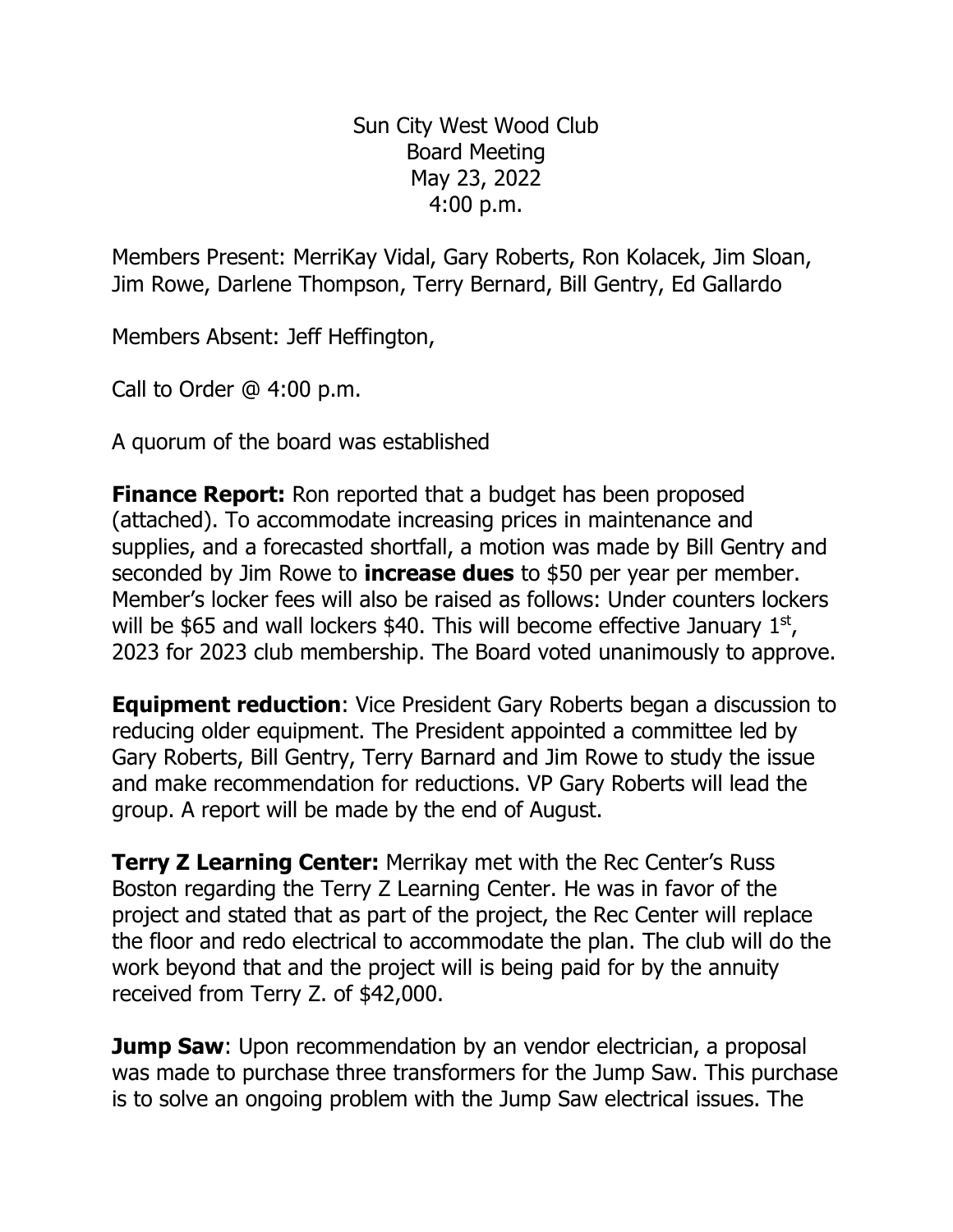Sun City West Wood Club Board Meeting May 23, 2022 4:00 p.m.

Members Present: MerriKay Vidal, Gary Roberts, Ron Kolacek, Jim Sloan, Jim Rowe, Darlene Thompson, Terry Bernard, Bill Gentry, Ed Gallardo

Members Absent: Jeff Heffington,

Call to Order @ 4:00 p.m.

A quorum of the board was established

**Finance Report:** Ron reported that a budget has been proposed (attached). To accommodate increasing prices in maintenance and supplies, and a forecasted shortfall, a motion was made by Bill Gentry and seconded by Jim Rowe to **increase dues** to \$50 per year per member. Member's locker fees will also be raised as follows: Under counters lockers will be \$65 and wall lockers \$40. This will become effective January  $1<sup>st</sup>$ , 2023 for 2023 club membership. The Board voted unanimously to approve.

**Equipment reduction**: Vice President Gary Roberts began a discussion to reducing older equipment. The President appointed a committee led by Gary Roberts, Bill Gentry, Terry Barnard and Jim Rowe to study the issue and make recommendation for reductions. VP Gary Roberts will lead the group. A report will be made by the end of August.

**Terry Z Learning Center:** Merrikay met with the Rec Center's Russ Boston regarding the Terry Z Learning Center. He was in favor of the project and stated that as part of the project, the Rec Center will replace the floor and redo electrical to accommodate the plan. The club will do the work beyond that and the project will is being paid for by the annuity received from Terry Z. of \$42,000.

**Jump Saw:** Upon recommendation by an vendor electrician, a proposal was made to purchase three transformers for the Jump Saw. This purchase is to solve an ongoing problem with the Jump Saw electrical issues. The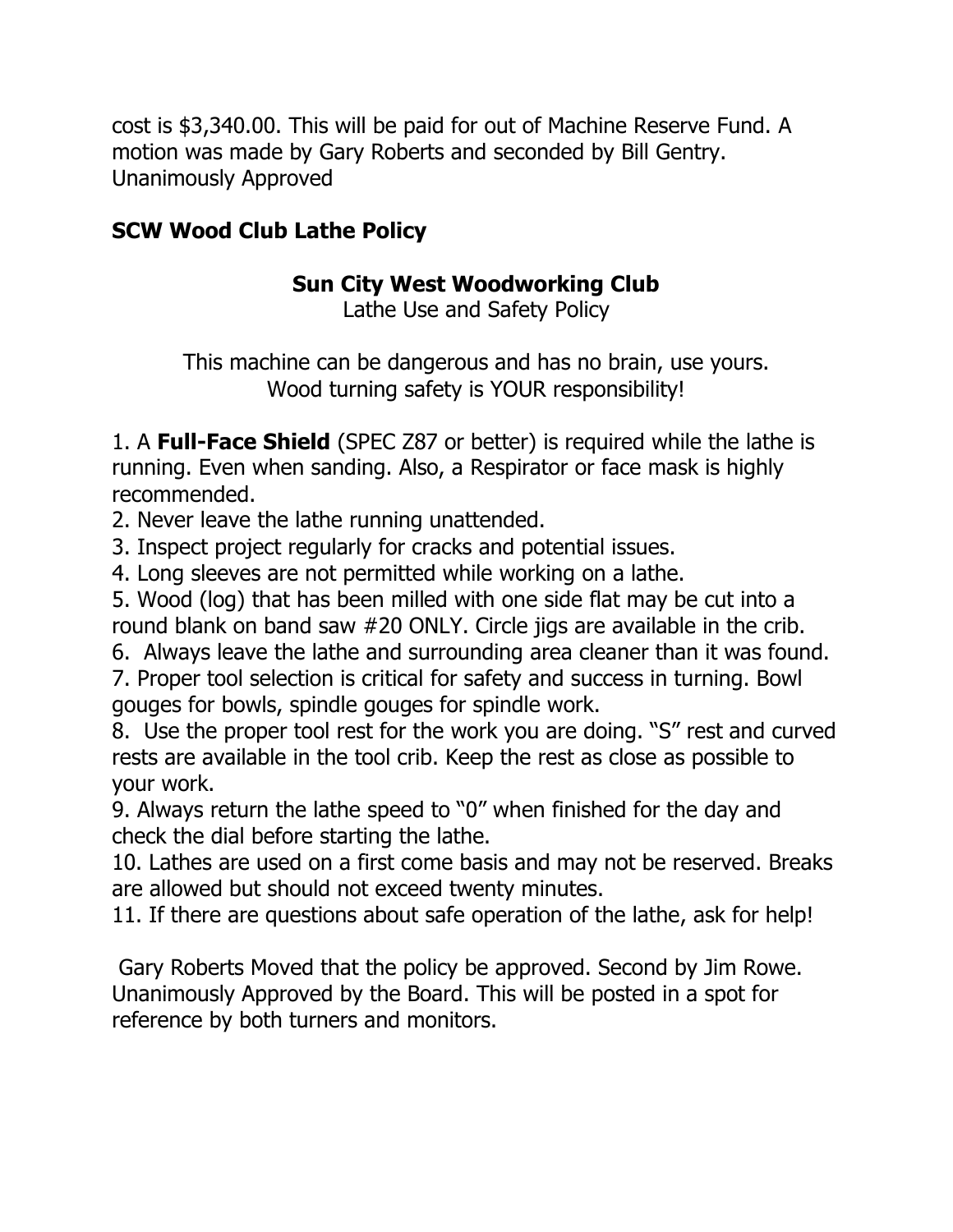cost is \$3,340.00. This will be paid for out of Machine Reserve Fund. A motion was made by Gary Roberts and seconded by Bill Gentry. Unanimously Approved

## **SCW Wood Club Lathe Policy**

## **Sun City West Woodworking Club**

Lathe Use and Safety Policy

This machine can be dangerous and has no brain, use yours. Wood turning safety is YOUR responsibility!

1. A **Full-Face Shield** (SPEC Z87 or better) is required while the lathe is running. Even when sanding. Also, a Respirator or face mask is highly recommended.

2. Never leave the lathe running unattended.

3. Inspect project regularly for cracks and potential issues.

4. Long sleeves are not permitted while working on a lathe.

5. Wood (log) that has been milled with one side flat may be cut into a round blank on band saw #20 ONLY. Circle jigs are available in the crib.

6. Always leave the lathe and surrounding area cleaner than it was found.

7. Proper tool selection is critical for safety and success in turning. Bowl gouges for bowls, spindle gouges for spindle work.

8. Use the proper tool rest for the work you are doing. "S" rest and curved rests are available in the tool crib. Keep the rest as close as possible to your work.

9. Always return the lathe speed to "0" when finished for the day and check the dial before starting the lathe.

10. Lathes are used on a first come basis and may not be reserved. Breaks are allowed but should not exceed twenty minutes.

11. If there are questions about safe operation of the lathe, ask for help!

Gary Roberts Moved that the policy be approved. Second by Jim Rowe. Unanimously Approved by the Board. This will be posted in a spot for reference by both turners and monitors.